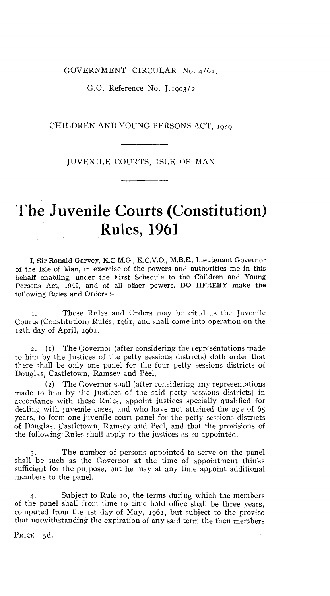GOVERNMENT CIRCULAR No. 4/61.

G.O. Reference No. J.1903 /2

CHILDREN AND YOUNG PERSONS ACT, 1949

JUVENILE COURTS, ISLE OF MAN

## **The Juvenile Courts (Constitution) Rules, 1961**

I, Sir Ronald Garvey, K.C.M.G., K.C.V.O., M.B.E., Lieutenant Governor of the Isle of Man, in exercise of the powers and authorities me in this behalf enabling, under the First Schedule to the Children and Young Persons Act, 1949, and of all other powers, DO HEREBY make the following Rules and Orders :—

r. These Rules and Orders may be cited as the Juvenile Courts (Constitution) Rules, 1961, and shall come into operation on the 12th day of April, 1961.

2. (r) The Governor (after considering the representations made to him by the Justices of the petty sessions districts) doth order that there shall be only one panel for the four petty sessions districts of Douglas, Castletown, Ramsey and Peel.

(2) The Governor shall (after considering any representations made to him by the Justices of the said petty sessions districts) in accordance with these Rules, appoint justices specially qualified for dealing with juvenile cases, and who have not attained the age of 65 years, to form one juvenile court panel for the petty sessions districts of Douglas, Castletown, Ramsey and Peel, and that the provisions of the following Rules shall apply to the justices as so appointed.

The number of persons appointed to serve on the panel shall be such as the Governor at the time of appointment thinks sufficient for the purpose, but he may at any time appoint additional members to the panel.

4. Subject to Rule ro, the terms during which the members of the panel shall from time to time hold office shall be three years, computed from the 1st day of May, 1961, but subject to the proviso that notwithstanding the expiration of any said term the then members

PRICE-5d.